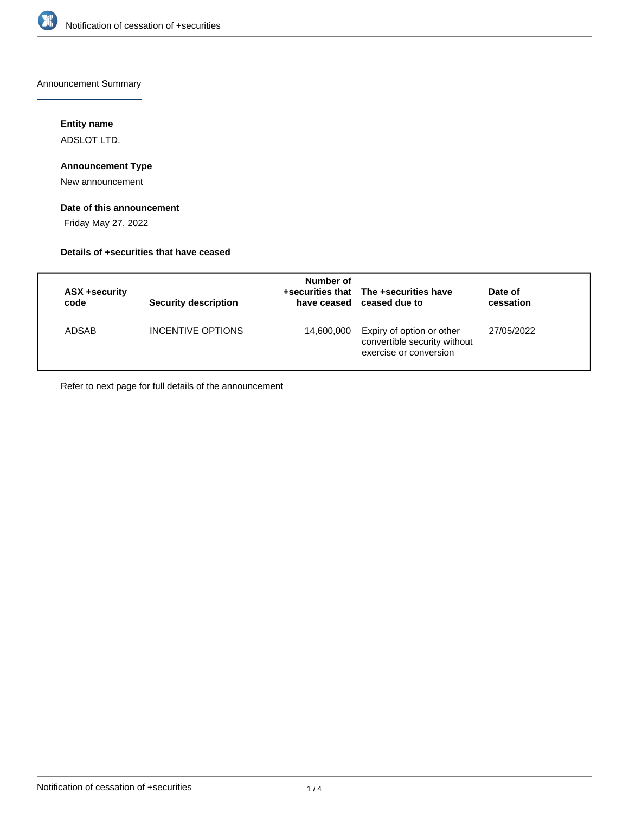

Announcement Summary

## **Entity name**

ADSLOT LTD.

## **Announcement Type**

New announcement

# **Date of this announcement**

Friday May 27, 2022

### **Details of +securities that have ceased**

| ASX +security<br>code | <b>Security description</b> | Number of  | +securities that The +securities have<br>have ceased ceased due to                  | Date of<br>cessation |
|-----------------------|-----------------------------|------------|-------------------------------------------------------------------------------------|----------------------|
| ADSAB                 | INCENTIVE OPTIONS           | 14,600,000 | Expiry of option or other<br>convertible security without<br>exercise or conversion | 27/05/2022           |

Refer to next page for full details of the announcement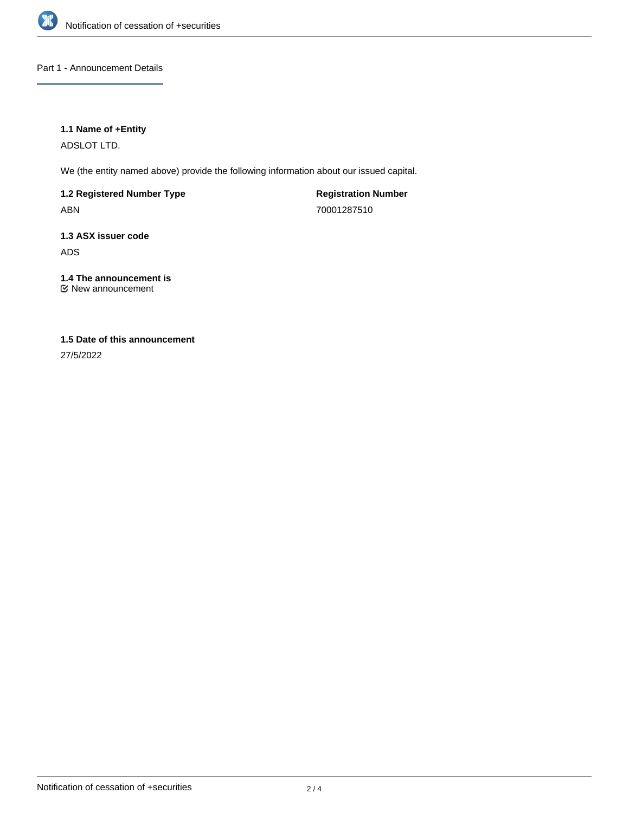

Part 1 - Announcement Details

## **1.1 Name of +Entity**

ADSLOT LTD.

We (the entity named above) provide the following information about our issued capital.

**1.2 Registered Number Type** ABN

**Registration Number** 70001287510

**1.3 ASX issuer code** ADS

**1.4 The announcement is** New announcement

# **1.5 Date of this announcement**

27/5/2022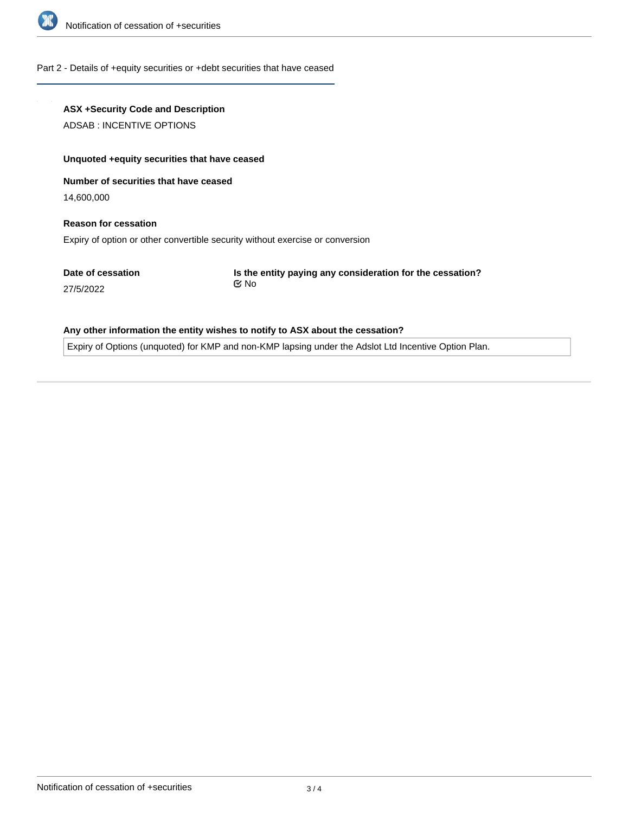

### Part 2 - Details of +equity securities or +debt securities that have ceased

# **ASX +Security Code and Description**

ADSAB : INCENTIVE OPTIONS

### **Unquoted +equity securities that have ceased**

**Number of securities that have ceased**

14,600,000

# **Reason for cessation** Expiry of option or other convertible security without exercise or conversion

**Date of cessation**

27/5/2022

**Is the entity paying any consideration for the cessation?** No

### **Any other information the entity wishes to notify to ASX about the cessation?**

Expiry of Options (unquoted) for KMP and non-KMP lapsing under the Adslot Ltd Incentive Option Plan.